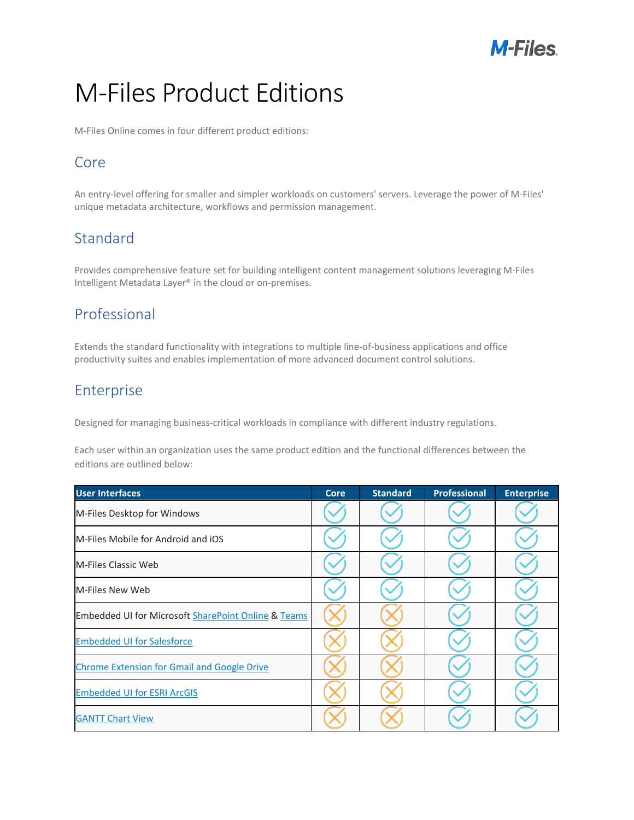

# M-Files Product Editions

M-Files Online comes in four different product editions:

#### Core

An entry-level offering for smaller and simpler workloads on customers' servers. Leverage the power of M-Files' unique metadata architecture, workflows and permission management.

#### **Standard**

Provides comprehensive feature set for building intelligent content management solutions leveraging M-Files Intelligent Metadata Layer® in the cloud or on-premises.

#### Professional

Extends the standard functionality with integrations to multiple line-of-business applications and office productivity suites and enables implementation of more advanced document control solutions.

#### Enterprise

Designed for managing business-critical workloads in compliance with different industry regulations.

Each user within an organization uses the same product edition and the functional differences between the editions are outlined below:

| <b>User Interfaces</b>                                         | <b>Core</b> | <b>Standard</b> | <b>Professional</b> | <b>Enterprise</b> |
|----------------------------------------------------------------|-------------|-----------------|---------------------|-------------------|
| M-Files Desktop for Windows                                    |             |                 |                     |                   |
| M-Files Mobile for Android and iOS                             |             |                 |                     |                   |
| M-Files Classic Web                                            |             |                 |                     |                   |
| M-Files New Web                                                |             |                 |                     |                   |
| <b>Embedded UI for Microsoft SharePoint Online &amp; Teams</b> |             |                 |                     |                   |
| <b>Embedded UI for Salesforce</b>                              |             |                 |                     |                   |
| <b>Chrome Extension for Gmail and Google Drive</b>             |             |                 |                     |                   |
| <b>Embedded UI for ESRI ArcGIS</b>                             |             |                 |                     |                   |
| <b>GANTT Chart View</b>                                        |             |                 |                     |                   |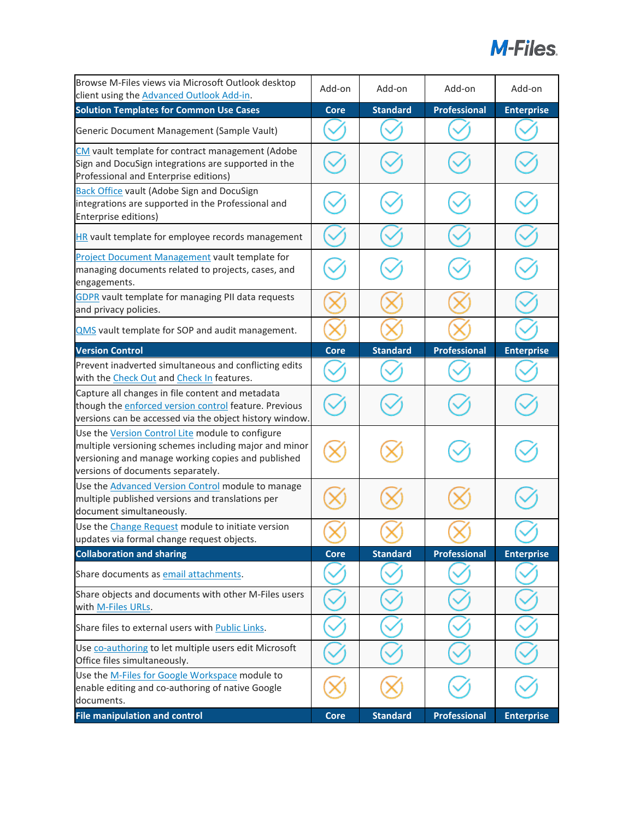

| Browse M-Files views via Microsoft Outlook desktop<br>client using the <b>Advanced Outlook Add-in</b> .                                                                                              | Add-on      | Add-on          | Add-on              | Add-on            |
|------------------------------------------------------------------------------------------------------------------------------------------------------------------------------------------------------|-------------|-----------------|---------------------|-------------------|
| <b>Solution Templates for Common Use Cases</b>                                                                                                                                                       | <b>Core</b> | <b>Standard</b> | <b>Professional</b> | <b>Enterprise</b> |
| Generic Document Management (Sample Vault)                                                                                                                                                           |             |                 |                     |                   |
| CM vault template for contract management (Adobe<br>Sign and DocuSign integrations are supported in the<br>Professional and Enterprise editions)                                                     |             |                 |                     |                   |
| <b>Back Office vault (Adobe Sign and DocuSign</b><br>integrations are supported in the Professional and<br>Enterprise editions)                                                                      |             |                 |                     |                   |
| HR vault template for employee records management                                                                                                                                                    |             |                 |                     |                   |
| <b>Project Document Management vault template for</b><br>managing documents related to projects, cases, and<br>engagements.                                                                          |             |                 |                     |                   |
| <b>GDPR</b> vault template for managing PII data requests<br>and privacy policies.                                                                                                                   |             |                 |                     |                   |
| <b>QMS</b> vault template for SOP and audit management.                                                                                                                                              |             |                 |                     |                   |
| <b>Version Control</b>                                                                                                                                                                               | <b>Core</b> | <b>Standard</b> | <b>Professional</b> | <b>Enterprise</b> |
| Prevent inadverted simultaneous and conflicting edits<br>with the Check Out and Check In features.                                                                                                   |             |                 |                     |                   |
| Capture all changes in file content and metadata<br>though the <i>enforced version control</i> feature. Previous<br>versions can be accessed via the object history window.                          |             |                 |                     |                   |
| Use the Version Control Lite module to configure<br>multiple versioning schemes including major and minor<br>versioning and manage working copies and published<br>versions of documents separately. |             |                 |                     |                   |
| Use the <b>Advanced Version Control</b> module to manage<br>multiple published versions and translations per<br>document simultaneously.                                                             |             |                 |                     |                   |
| Use the Change Request module to initiate version<br>updates via formal change request objects.                                                                                                      |             |                 |                     |                   |
| <b>Collaboration and sharing</b>                                                                                                                                                                     | <b>Core</b> | <b>Standard</b> | <b>Professional</b> | <b>Enterprise</b> |
| Share documents as email attachments.                                                                                                                                                                |             |                 |                     |                   |
| Share objects and documents with other M-Files users<br>with M-Files URLs.                                                                                                                           |             |                 |                     |                   |
| Share files to external users with Public Links.                                                                                                                                                     |             |                 |                     |                   |
| Use co-authoring to let multiple users edit Microsoft<br>Office files simultaneously.                                                                                                                |             |                 |                     |                   |
| Use the M-Files for Google Workspace module to<br>enable editing and co-authoring of native Google<br>documents.                                                                                     |             |                 |                     |                   |
| <b>File manipulation and control</b>                                                                                                                                                                 | <b>Core</b> | <b>Standard</b> | <b>Professional</b> | <b>Enterprise</b> |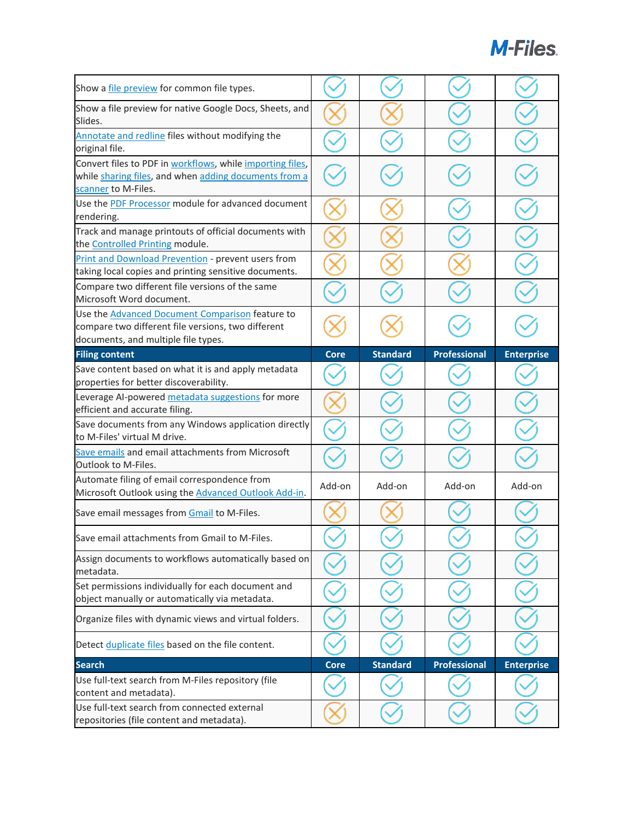| Show a <i>file preview</i> for common file types.                                                                                            |             |                 |                     |                   |
|----------------------------------------------------------------------------------------------------------------------------------------------|-------------|-----------------|---------------------|-------------------|
| Show a file preview for native Google Docs, Sheets, and<br>Slides.                                                                           |             |                 |                     |                   |
| Annotate and redline files without modifying the<br>original file.                                                                           |             |                 |                     |                   |
| Convert files to PDF in workflows, while importing files,<br>while sharing files, and when adding documents from a<br>scanner to M-Files.    |             |                 |                     |                   |
| Use the PDF Processor module for advanced document<br>rendering.                                                                             |             |                 |                     |                   |
| Track and manage printouts of official documents with<br>the Controlled Printing module.                                                     |             |                 |                     |                   |
| Print and Download Prevention - prevent users from<br>taking local copies and printing sensitive documents.                                  |             |                 |                     |                   |
| Compare two different file versions of the same<br>Microsoft Word document.                                                                  |             |                 |                     |                   |
| Use the Advanced Document Comparison feature to<br>compare two different file versions, two different<br>documents, and multiple file types. |             |                 |                     |                   |
| <b>Filing content</b>                                                                                                                        | Core        | <b>Standard</b> | <b>Professional</b> | <b>Enterprise</b> |
| Save content based on what it is and apply metadata<br>properties for better discoverability.                                                |             |                 |                     |                   |
| Leverage AI-powered metadata suggestions for more<br>efficient and accurate filing.                                                          |             |                 |                     |                   |
| Save documents from any Windows application directly                                                                                         |             |                 |                     |                   |
| to M-Files' virtual M drive.                                                                                                                 |             |                 |                     |                   |
| Save emails and email attachments from Microsoft<br><b>Outlook to M-Files.</b>                                                               |             |                 |                     |                   |
| Automate filing of email correspondence from<br>Microsoft Outlook using the Advanced Outlook Add-in.                                         | Add-on      | Add-on          | Add-on              | Add-on            |
| Save email messages from Gmail to M-Files.                                                                                                   |             |                 |                     |                   |
| Save email attachments from Gmail to M-Files.                                                                                                |             |                 |                     |                   |
| Assign documents to workflows automatically based on<br>metadata.                                                                            |             |                 |                     |                   |
| Set permissions individually for each document and<br>object manually or automatically via metadata.                                         |             |                 |                     |                   |
| Organize files with dynamic views and virtual folders.                                                                                       |             |                 |                     |                   |
| Detect duplicate files based on the file content.                                                                                            |             |                 |                     |                   |
| <b>Search</b>                                                                                                                                | <b>Core</b> | <b>Standard</b> | <b>Professional</b> | <b>Enterprise</b> |
| Use full-text search from M-Files repository (file<br>content and metadata).<br>Use full-text search from connected external                 |             |                 |                     |                   |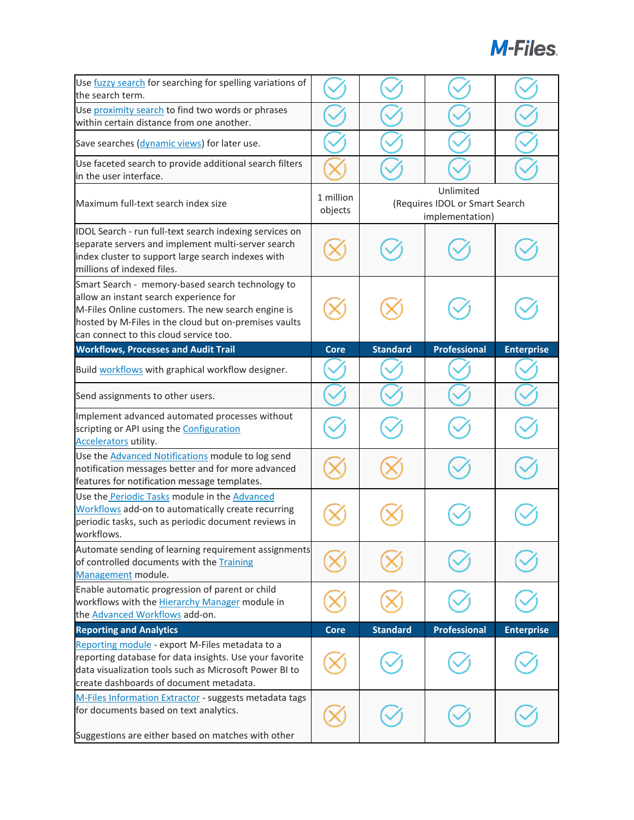| Use fuzzy search for searching for spelling variations of<br>the search term.                                                                                                                                                                       |                      |                                                                |                     |                   |
|-----------------------------------------------------------------------------------------------------------------------------------------------------------------------------------------------------------------------------------------------------|----------------------|----------------------------------------------------------------|---------------------|-------------------|
| Use proximity search to find two words or phrases<br>within certain distance from one another.                                                                                                                                                      |                      |                                                                |                     |                   |
| Save searches (dynamic views) for later use.                                                                                                                                                                                                        |                      |                                                                |                     |                   |
| Use faceted search to provide additional search filters<br>in the user interface.                                                                                                                                                                   |                      |                                                                |                     |                   |
| Maximum full-text search index size                                                                                                                                                                                                                 | 1 million<br>objects | Unlimited<br>(Requires IDOL or Smart Search<br>implementation) |                     |                   |
| IDOL Search - run full-text search indexing services on<br>separate servers and implement multi-server search<br>index cluster to support large search indexes with<br>millions of indexed files.                                                   |                      |                                                                |                     |                   |
| Smart Search - memory-based search technology to<br>allow an instant search experience for<br>M-Files Online customers. The new search engine is<br>hosted by M-Files in the cloud but on-premises vaults<br>can connect to this cloud service too. |                      |                                                                |                     |                   |
| <b>Workflows, Processes and Audit Trail</b>                                                                                                                                                                                                         | <b>Core</b>          | <b>Standard</b>                                                | <b>Professional</b> | <b>Enterprise</b> |
| Build workflows with graphical workflow designer.                                                                                                                                                                                                   |                      |                                                                |                     |                   |
| Send assignments to other users.                                                                                                                                                                                                                    |                      |                                                                |                     |                   |
| Implement advanced automated processes without<br>scripting or API using the Configuration<br>Accelerators utility.                                                                                                                                 |                      |                                                                |                     |                   |
| Use the Advanced Notifications module to log send<br>notification messages better and for more advanced<br>features for notification message templates.                                                                                             |                      |                                                                |                     |                   |
| Use the Periodic Tasks module in the Advanced<br>Workflows add-on to automatically create recurring<br>periodic tasks, such as periodic document reviews in<br>workflows.                                                                           |                      |                                                                |                     |                   |
| Automate sending of learning requirement assignments<br>of controlled documents with the Training<br>Management module.                                                                                                                             |                      |                                                                |                     |                   |
| Enable automatic progression of parent or child<br>workflows with the Hierarchy Manager module in<br>the Advanced Workflows add-on.                                                                                                                 |                      |                                                                |                     |                   |
| <b>Reporting and Analytics</b>                                                                                                                                                                                                                      | <b>Core</b>          | <b>Standard</b>                                                | Professional        | <b>Enterprise</b> |
| Reporting module - export M-Files metadata to a<br>reporting database for data insights. Use your favorite<br>data visualization tools such as Microsoft Power BI to<br>create dashboards of document metadata.                                     |                      |                                                                |                     |                   |
| M-Files Information Extractor - suggests metadata tags<br>for documents based on text analytics.<br>Suggestions are either based on matches with other                                                                                              |                      |                                                                |                     |                   |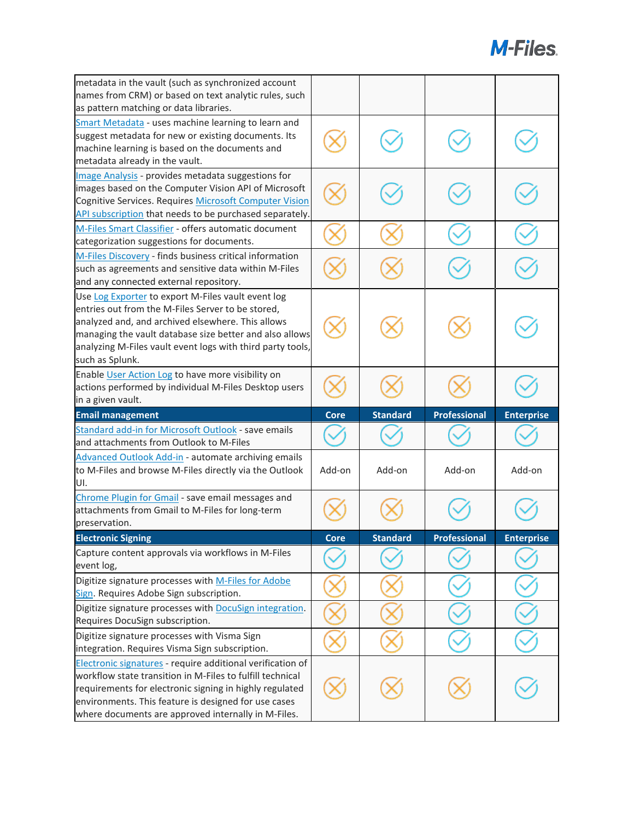| metadata in the vault (such as synchronized account<br>names from CRM) or based on text analytic rules, such<br>as pattern matching or data libraries.                                                                                                                                                   |        |                 |                     |                   |
|----------------------------------------------------------------------------------------------------------------------------------------------------------------------------------------------------------------------------------------------------------------------------------------------------------|--------|-----------------|---------------------|-------------------|
| Smart Metadata - uses machine learning to learn and<br>suggest metadata for new or existing documents. Its<br>machine learning is based on the documents and<br>metadata already in the vault.                                                                                                           |        |                 |                     |                   |
| Image Analysis - provides metadata suggestions for<br>images based on the Computer Vision API of Microsoft<br>Cognitive Services. Requires Microsoft Computer Vision<br>API subscription that needs to be purchased separately.                                                                          |        |                 |                     |                   |
| M-Files Smart Classifier - offers automatic document<br>categorization suggestions for documents.                                                                                                                                                                                                        |        |                 |                     |                   |
| M-Files Discovery - finds business critical information<br>such as agreements and sensitive data within M-Files<br>and any connected external repository.                                                                                                                                                |        |                 |                     |                   |
| Use Log Exporter to export M-Files vault event log<br>entries out from the M-Files Server to be stored,<br>analyzed and, and archived elsewhere. This allows<br>managing the vault database size better and also allows<br>analyzing M-Files vault event logs with third party tools,<br>such as Splunk. |        |                 |                     |                   |
| Enable User Action Log to have more visibility on<br>actions performed by individual M-Files Desktop users<br>in a given vault.                                                                                                                                                                          |        |                 |                     |                   |
|                                                                                                                                                                                                                                                                                                          |        |                 |                     |                   |
| <b>Email management</b>                                                                                                                                                                                                                                                                                  | Core   | <b>Standard</b> | <b>Professional</b> | <b>Enterprise</b> |
| Standard add-in for Microsoft Outlook - save emails<br>and attachments from Outlook to M-Files                                                                                                                                                                                                           |        |                 |                     |                   |
| Advanced Outlook Add-in - automate archiving emails<br>to M-Files and browse M-Files directly via the Outlook<br>UI.                                                                                                                                                                                     | Add-on | Add-on          | Add-on              | Add-on            |
| Chrome Plugin for Gmail - save email messages and<br>attachments from Gmail to M-Files for long-term<br>preservation.                                                                                                                                                                                    |        |                 |                     |                   |
| <b>Electronic Signing</b>                                                                                                                                                                                                                                                                                | core   | <b>Standard</b> | <b>Professional</b> | <b>Enterprise</b> |
| Capture content approvals via workflows in M-Files<br>event log,                                                                                                                                                                                                                                         |        |                 |                     |                   |
| Digitize signature processes with M-Files for Adobe<br>Sign. Requires Adobe Sign subscription.<br>Digitize signature processes with DocuSign integration.<br>Requires DocuSign subscription.                                                                                                             |        |                 |                     |                   |
| Digitize signature processes with Visma Sign<br>integration. Requires Visma Sign subscription.                                                                                                                                                                                                           |        |                 |                     |                   |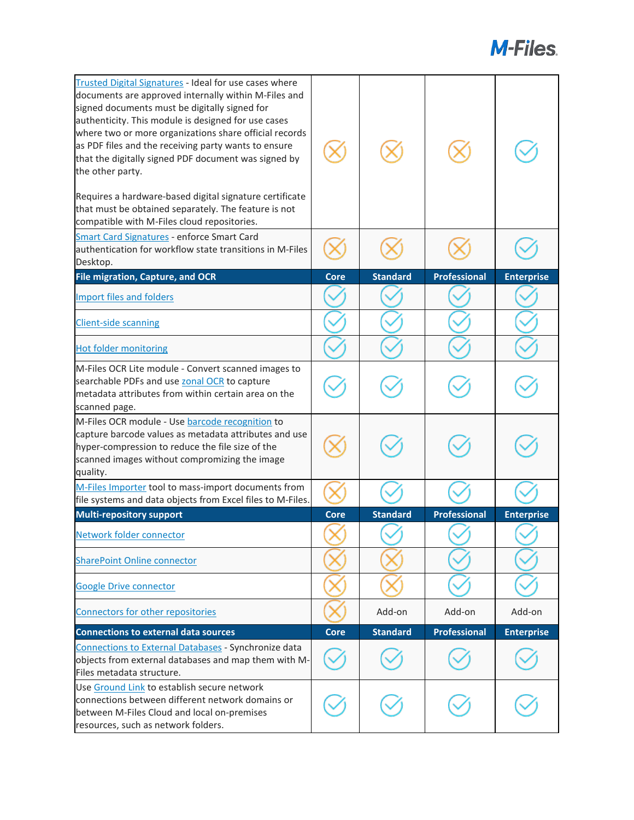| Trusted Digital Signatures - Ideal for use cases where<br>documents are approved internally within M-Files and<br>signed documents must be digitally signed for<br>authenticity. This module is designed for use cases<br>where two or more organizations share official records<br>as PDF files and the receiving party wants to ensure<br>that the digitally signed PDF document was signed by<br>the other party.<br>Requires a hardware-based digital signature certificate<br>that must be obtained separately. The feature is not<br>compatible with M-Files cloud repositories. |             |                 |                     |                   |
|----------------------------------------------------------------------------------------------------------------------------------------------------------------------------------------------------------------------------------------------------------------------------------------------------------------------------------------------------------------------------------------------------------------------------------------------------------------------------------------------------------------------------------------------------------------------------------------|-------------|-----------------|---------------------|-------------------|
| Smart Card Signatures - enforce Smart Card<br>authentication for workflow state transitions in M-Files                                                                                                                                                                                                                                                                                                                                                                                                                                                                                 |             |                 |                     |                   |
| Desktop.<br>File migration, Capture, and OCR                                                                                                                                                                                                                                                                                                                                                                                                                                                                                                                                           | <b>Core</b> | <b>Standard</b> | <b>Professional</b> | <b>Enterprise</b> |
|                                                                                                                                                                                                                                                                                                                                                                                                                                                                                                                                                                                        |             |                 |                     |                   |
| <b>Import files and folders</b>                                                                                                                                                                                                                                                                                                                                                                                                                                                                                                                                                        |             |                 |                     |                   |
| <b>Client-side scanning</b>                                                                                                                                                                                                                                                                                                                                                                                                                                                                                                                                                            |             |                 |                     |                   |
| <b>Hot folder monitoring</b>                                                                                                                                                                                                                                                                                                                                                                                                                                                                                                                                                           |             |                 |                     |                   |
| M-Files OCR Lite module - Convert scanned images to<br>searchable PDFs and use zonal OCR to capture<br>metadata attributes from within certain area on the<br>scanned page.                                                                                                                                                                                                                                                                                                                                                                                                            |             |                 |                     |                   |
| M-Files OCR module - Use barcode recognition to<br>capture barcode values as metadata attributes and use<br>hyper-compression to reduce the file size of the<br>scanned images without compromizing the image<br>quality.                                                                                                                                                                                                                                                                                                                                                              |             |                 |                     |                   |
| M-Files Importer tool to mass-import documents from<br>file systems and data objects from Excel files to M-Files.                                                                                                                                                                                                                                                                                                                                                                                                                                                                      |             |                 |                     |                   |
| <b>Multi-repository support</b>                                                                                                                                                                                                                                                                                                                                                                                                                                                                                                                                                        | <b>Core</b> | <b>Standard</b> | <b>Professional</b> | <b>Enterprise</b> |
|                                                                                                                                                                                                                                                                                                                                                                                                                                                                                                                                                                                        |             |                 |                     |                   |
| Network folder connector                                                                                                                                                                                                                                                                                                                                                                                                                                                                                                                                                               |             |                 |                     |                   |
| <b>SharePoint Online connector</b>                                                                                                                                                                                                                                                                                                                                                                                                                                                                                                                                                     |             |                 |                     |                   |
| <b>Google Drive connector</b>                                                                                                                                                                                                                                                                                                                                                                                                                                                                                                                                                          |             |                 |                     |                   |
| Connectors for other repositories                                                                                                                                                                                                                                                                                                                                                                                                                                                                                                                                                      |             | Add-on          | Add-on              | Add-on            |
| <b>Connections to external data sources</b>                                                                                                                                                                                                                                                                                                                                                                                                                                                                                                                                            | <b>Core</b> | <b>Standard</b> | <b>Professional</b> | <b>Enterprise</b> |
| Connections to External Databases - Synchronize data<br>objects from external databases and map them with M-<br>Files metadata structure.                                                                                                                                                                                                                                                                                                                                                                                                                                              |             |                 |                     |                   |
| Use Ground Link to establish secure network<br>connections between different network domains or<br>between M-Files Cloud and local on-premises<br>resources, such as network folders.                                                                                                                                                                                                                                                                                                                                                                                                  |             |                 |                     |                   |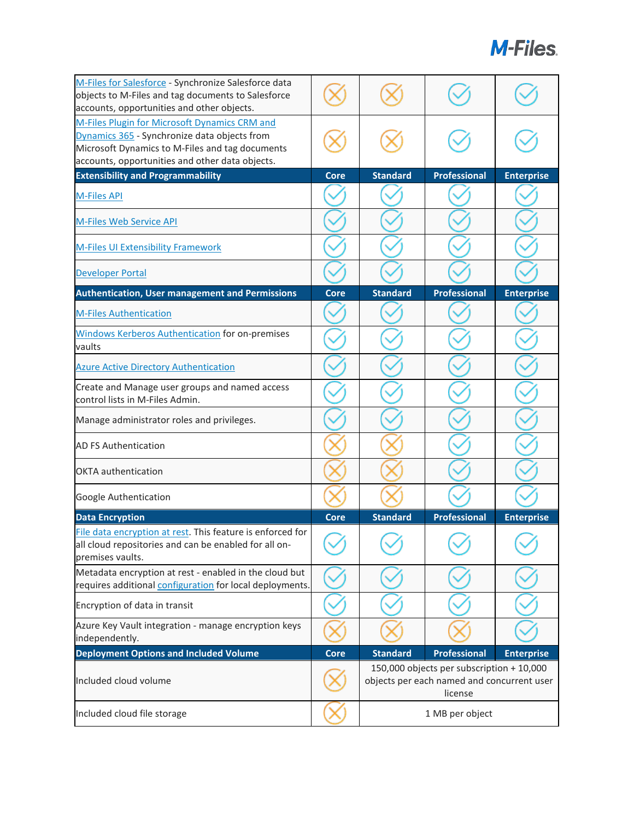| M-Files for Salesforce - Synchronize Salesforce data<br>objects to M-Files and tag documents to Salesforce<br>accounts, opportunities and other objects.                                            |             |                 |                                                                                                    |                   |
|-----------------------------------------------------------------------------------------------------------------------------------------------------------------------------------------------------|-------------|-----------------|----------------------------------------------------------------------------------------------------|-------------------|
| M-Files Plugin for Microsoft Dynamics CRM and<br>Dynamics 365 - Synchronize data objects from<br>Microsoft Dynamics to M-Files and tag documents<br>accounts, opportunities and other data objects. |             |                 |                                                                                                    |                   |
| <b>Extensibility and Programmability</b>                                                                                                                                                            | Core        | <b>Standard</b> | <b>Professional</b>                                                                                | <b>Enterprise</b> |
| <b>M-Files API</b>                                                                                                                                                                                  |             |                 |                                                                                                    |                   |
| <b>M-Files Web Service API</b>                                                                                                                                                                      |             |                 |                                                                                                    |                   |
| <b>M-Files UI Extensibility Framework</b>                                                                                                                                                           |             |                 |                                                                                                    |                   |
| <b>Developer Portal</b>                                                                                                                                                                             |             |                 |                                                                                                    |                   |
| <b>Authentication, User management and Permissions</b>                                                                                                                                              | Core        | <b>Standard</b> | <b>Professional</b>                                                                                | <b>Enterprise</b> |
| <b>M-Files Authentication</b>                                                                                                                                                                       |             |                 |                                                                                                    |                   |
| Windows Kerberos Authentication for on-premises<br>vaults                                                                                                                                           |             |                 |                                                                                                    |                   |
| <b>Azure Active Directory Authentication</b>                                                                                                                                                        |             |                 |                                                                                                    |                   |
| Create and Manage user groups and named access<br>control lists in M-Files Admin.                                                                                                                   |             |                 |                                                                                                    |                   |
| Manage administrator roles and privileges.                                                                                                                                                          |             |                 |                                                                                                    |                   |
| <b>AD FS Authentication</b>                                                                                                                                                                         |             |                 |                                                                                                    |                   |
| <b>OKTA</b> authentication                                                                                                                                                                          |             |                 |                                                                                                    |                   |
| Google Authentication                                                                                                                                                                               |             |                 |                                                                                                    |                   |
| <b>Data Encryption</b>                                                                                                                                                                              | Core        | <b>Standard</b> | <b>Professional</b>                                                                                | <b>Enterprise</b> |
| File data encryption at rest. This feature is enforced for<br>all cloud repositories and can be enabled for all on-<br>premises vaults.                                                             |             |                 |                                                                                                    |                   |
| Metadata encryption at rest - enabled in the cloud but<br>requires additional configuration for local deployments.                                                                                  |             |                 |                                                                                                    |                   |
| Encryption of data in transit                                                                                                                                                                       |             |                 |                                                                                                    |                   |
| Azure Key Vault integration - manage encryption keys<br>independently.                                                                                                                              |             |                 |                                                                                                    |                   |
| <b>Deployment Options and Included Volume</b>                                                                                                                                                       | <b>Core</b> | Standard        | <b>Professional</b>                                                                                | <b>Enterprise</b> |
| Included cloud volume                                                                                                                                                                               |             |                 | 150,000 objects per subscription + 10,000<br>objects per each named and concurrent user<br>license |                   |
| Included cloud file storage                                                                                                                                                                         |             |                 | 1 MB per object                                                                                    |                   |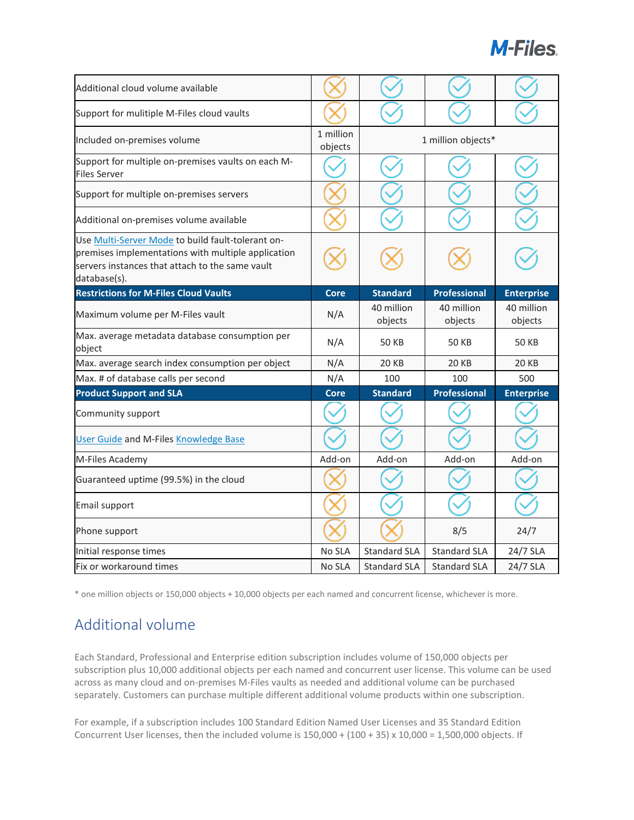| Additional cloud volume available                                                                                                                                          |                      |                       |                       |                       |
|----------------------------------------------------------------------------------------------------------------------------------------------------------------------------|----------------------|-----------------------|-----------------------|-----------------------|
| Support for mulitiple M-Files cloud vaults                                                                                                                                 |                      |                       |                       |                       |
| Included on-premises volume                                                                                                                                                | 1 million<br>objects | 1 million objects*    |                       |                       |
| Support for multiple on-premises vaults on each M-<br><b>Files Server</b>                                                                                                  |                      |                       |                       |                       |
| Support for multiple on-premises servers                                                                                                                                   |                      |                       |                       |                       |
| Additional on-premises volume available                                                                                                                                    |                      |                       |                       |                       |
| Use Multi-Server Mode to build fault-tolerant on-<br>premises implementations with multiple application<br>servers instances that attach to the same vault<br>database(s). |                      |                       |                       |                       |
| <b>Restrictions for M-Files Cloud Vaults</b>                                                                                                                               | <b>Core</b>          | <b>Standard</b>       | <b>Professional</b>   | <b>Enterprise</b>     |
| Maximum volume per M-Files vault                                                                                                                                           | N/A                  | 40 million<br>objects | 40 million<br>objects | 40 million<br>objects |
| Max. average metadata database consumption per<br>object                                                                                                                   | N/A                  | <b>50 KB</b>          | <b>50 KB</b>          | <b>50 KB</b>          |
| Max. average search index consumption per object                                                                                                                           | N/A                  | <b>20 KB</b>          | <b>20 KB</b>          | <b>20 KB</b>          |
| Max. # of database calls per second                                                                                                                                        | N/A                  | 100                   | 100                   | 500                   |
| <b>Product Support and SLA</b>                                                                                                                                             | <b>Core</b>          | <b>Standard</b>       | <b>Professional</b>   | <b>Enterprise</b>     |
| Community support                                                                                                                                                          |                      |                       |                       |                       |
| <b>User Guide and M-Files Knowledge Base</b>                                                                                                                               |                      |                       |                       |                       |
| M-Files Academy                                                                                                                                                            | Add-on               | Add-on                | Add-on                | Add-on                |
| Guaranteed uptime (99.5%) in the cloud                                                                                                                                     |                      |                       |                       |                       |
| Email support                                                                                                                                                              |                      |                       |                       |                       |
| Phone support                                                                                                                                                              |                      |                       | 8/5                   | 24/7                  |
| Initial response times                                                                                                                                                     | No SLA               | <b>Standard SLA</b>   | <b>Standard SLA</b>   | 24/7 SLA              |
| Fix or workaround times                                                                                                                                                    | No SLA               | <b>Standard SLA</b>   | <b>Standard SLA</b>   | 24/7 SLA              |

\* one million objects or 150,000 objects + 10,000 objects per each named and concurrent license, whichever is more.

### Additional volume

Each Standard, Professional and Enterprise edition subscription includes volume of 150,000 objects per subscription plus 10,000 additional objects per each named and concurrent user license. This volume can be used across as many cloud and on-premises M-Files vaults as needed and additional volume can be purchased separately. Customers can purchase multiple different additional volume products within one subscription.

For example, if a subscription includes 100 Standard Edition Named User Licenses and 35 Standard Edition Concurrent User licenses, then the included volume is  $150,000 + (100 + 35) \times 10,000 = 1,500,000$  objects. If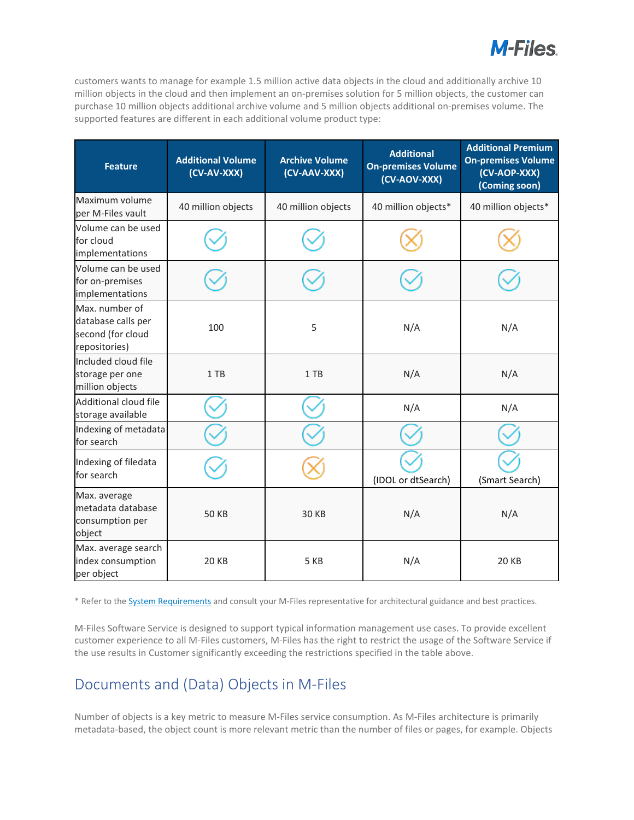

customers wants to manage for example 1.5 million active data objects in the cloud and additionally archive 10 million objects in the cloud and then implement an on-premises solution for 5 million objects, the customer can purchase 10 million objects additional archive volume and 5 million objects additional on-premises volume. The supported features are different in each additional volume product type:

| <b>Feature</b>                                                             | <b>Additional Volume</b><br>(CV-AV-XXX) | <b>Archive Volume</b><br>(CV-AAV-XXX) | <b>Additional</b><br><b>On-premises Volume</b><br>(CV-AOV-XXX) | <b>Additional Premium</b><br><b>On-premises Volume</b><br>(CV-AOP-XXX)<br>(Coming soon) |
|----------------------------------------------------------------------------|-----------------------------------------|---------------------------------------|----------------------------------------------------------------|-----------------------------------------------------------------------------------------|
| Maximum volume<br>per M-Files vault                                        | 40 million objects                      | 40 million objects                    | 40 million objects*                                            | 40 million objects*                                                                     |
| Volume can be used<br>for cloud<br>implementations                         |                                         |                                       |                                                                |                                                                                         |
| Volume can be used<br>for on-premises<br>implementations                   |                                         |                                       |                                                                |                                                                                         |
| Max. number of<br>database calls per<br>second (for cloud<br>repositories) | 100                                     | 5                                     | N/A                                                            | N/A                                                                                     |
| Included cloud file<br>storage per one<br>million objects                  | 1 TB                                    | 1 TB                                  | N/A                                                            | N/A                                                                                     |
| Additional cloud file<br>storage available                                 |                                         |                                       | N/A                                                            | N/A                                                                                     |
| Indexing of metadata<br>for search                                         |                                         |                                       |                                                                |                                                                                         |
| Indexing of filedata<br>for search                                         |                                         |                                       | (IDOL or dtSearch)                                             | (Smart Search)                                                                          |
| Max. average<br>metadata database<br>consumption per<br>object             | <b>50 KB</b>                            | <b>30 KB</b>                          | N/A                                                            | N/A                                                                                     |
| Max. average search<br>index consumption<br>per object                     | <b>20 KB</b>                            | 5 KB                                  | N/A                                                            | <b>20 KB</b>                                                                            |

\* Refer to the [System Requirements](https://www.m-files.com/user-guide/latest/eng/System_requirements.html) and consult your M-Files representative for architectural guidance and best practices.

M-Files Software Service is designed to support typical information management use cases. To provide excellent customer experience to all M-Files customers, M-Files has the right to restrict the usage of the Software Service if the use results in Customer significantly exceeding the restrictions specified in the table above.

#### Documents and (Data) Objects in M-Files

Number of objects is a key metric to measure M-Files service consumption. As M-Files architecture is primarily metadata-based, the object count is more relevant metric than the number of files or pages, for example. Objects